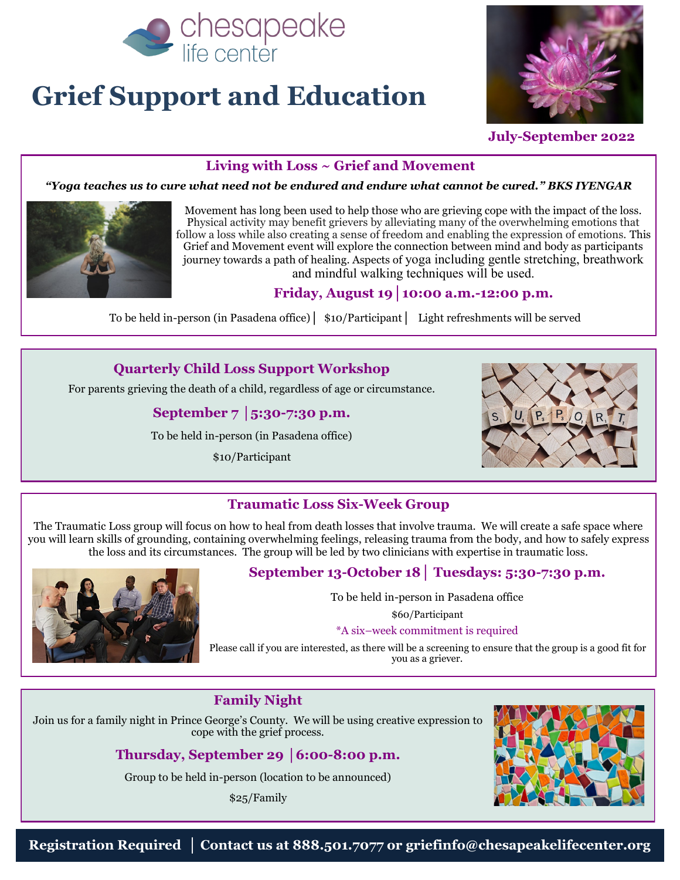

# **Grief Support and Education**



 **July-September 2022**

#### **Living with Loss ~ Grief and Movement**

*"Yoga teaches us to cure what need not be endured and endure what cannot be cured." BKS IYENGAR* 



Movement has long been used to help those who are grieving cope with the impact of the loss. Physical activity may benefit grievers by alleviating many of the overwhelming emotions that follow a loss while also creating a sense of freedom and enabling the expression of emotions. This Grief and Movement event will explore the connection between mind and body as participants journey towards a path of healing. Aspects of yoga including gentle stretching, breathwork and mindful walking techniques will be used.

#### **Friday, August 19│10:00 a.m.-12:00 p.m.**

To be held in-person (in Pasadena office)**│** \$10/Participant**│** Light refreshments will be served

#### **Quarterly Child Loss Support Workshop**

For parents grieving the death of a child, regardless of age or circumstance.

#### **September 7 │5:30-7:30 p.m.**

To be held in-person (in Pasadena office)

\$10/Participant



#### **Traumatic Loss Six-Week Group**

The Traumatic Loss group will focus on how to heal from death losses that involve trauma. We will create a safe space where you will learn skills of grounding, containing overwhelming feelings, releasing trauma from the body, and how to safely express the loss and its circumstances. The group will be led by two clinicians with expertise in traumatic loss.



#### **September 13-October 18│ Tuesdays: 5:30-7:30 p.m.**

To be held in-person in Pasadena office

\$60/Participant

#### \*A six–week commitment is required

Please call if you are interested, as there will be a screening to ensure that the group is a good fit for you as a griever.

#### **Family Night**

Join us for a family night in Prince George's County. We will be using creative expression to cope with the grief process.

#### **Thursday, September 29 │6:00-8:00 p.m.**

Group to be held in-person (location to be announced)

\$25/Family

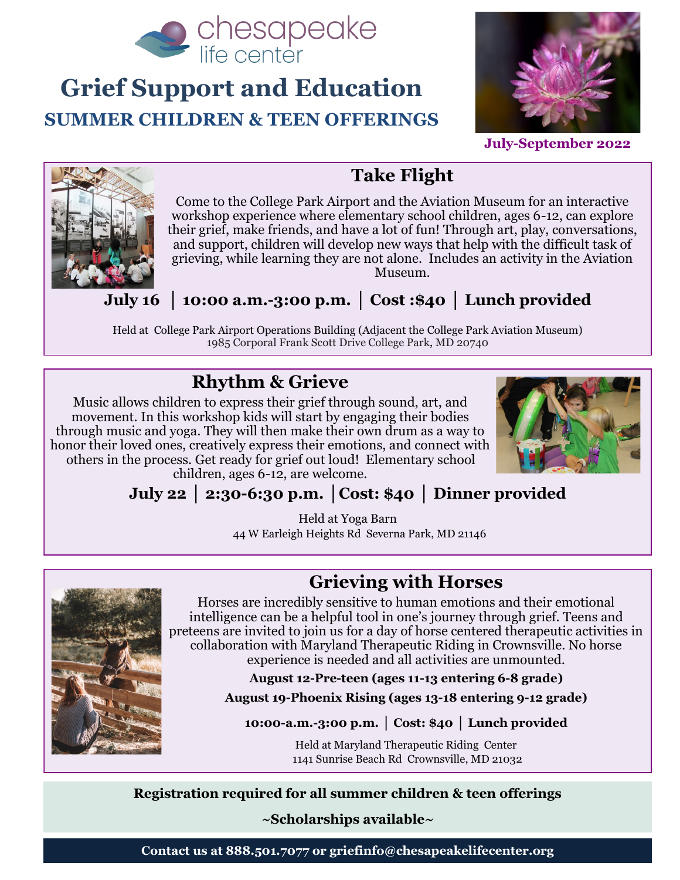

### **Grief Support and Education SUMMER CHILDREN & TEEN OFFERINGS**



**July-September 2022**



### **Take Flight**

Come to the College Park Airport and the Aviation Museum for an interactive workshop experience where elementary school children, ages 6-12, can explore their grief, make friends, and have a lot of fun! Through art, play, conversations, and support, children will develop new ways that help with the difficult task of grieving, while learning they are not alone. Includes an activity in the Aviation Museum.

**July 16 │ 10:00 a.m.-3:00 p.m. │ Cost :\$40 │ Lunch provided**

Held at College Park Airport Operations Building (Adjacent the College Park Aviation Museum) 1985 Corporal Frank Scott Drive College Park, MD 20740

### **Rhythm & Grieve**

Music allows children to express their grief through sound, art, and movement. In this workshop kids will start by engaging their bodies through music and yoga. They will then make their own drum as a way to honor their loved ones, creatively express their emotions, and connect with others in the process. Get ready for grief out loud! Elementary school



children, ages 6-12, are welcome.

### **July 22 │ 2:30-6:30 p.m. │Cost: \$40 │ Dinner provided**

Held at Yoga Barn 44 W Earleigh Heights Rd Severna Park, MD 21146

**Grieving with Horses**

Horses are incredibly sensitive to human emotions and their emotional intelligence can be a helpful tool in one's journey through grief. Teens and preteens are invited to join us for a day of horse centered therapeutic activities in collaboration with Maryland Therapeutic Riding in Crownsville. No horse experience is needed and all activities are unmounted.

**August 12-Pre-teen (ages 11-13 entering 6-8 grade)**

**August 19-Phoenix Rising (ages 13-18 entering 9-12 grade)**

**10:00-a.m.-3:00 p.m. │ Cost: \$40 │ Lunch provided**

Held at Maryland Therapeutic Riding Center 1141 Sunrise Beach Rd Crownsville, MD 21032

**Registration required for all summer children & teen offerings**

**~Scholarships available~**

**Contact us at 888.501.7077 or griefinfo@chesapeakelifecenter.org**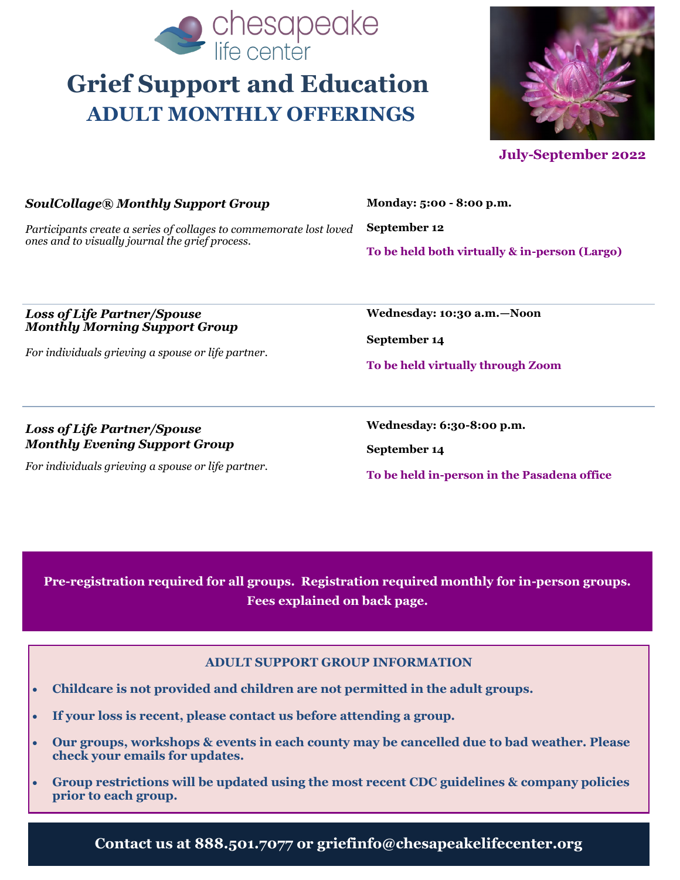

# **Grief Support and Education ADULT MONTHLY OFFERINGS**



 **July-September 2022** 

| SoulCollage® Monthly Support Group                                                                                    | Monday: 5:00 - 8:00 p.m.                      |
|-----------------------------------------------------------------------------------------------------------------------|-----------------------------------------------|
| Participants create a series of collages to commemorate lost loved<br>ones and to visually journal the grief process. | September 12                                  |
|                                                                                                                       | To be held both virtually & in-person (Largo) |

#### *Loss of Life Partner/Spouse Monthly Morning Support Group*

*For individuals grieving a spouse or life partner.* 

*Loss of Life Partner/Spouse Monthly Evening Support Group*

*For individuals grieving a spouse or life partner.* 

**Wednesday: 10:30 a.m.—Noon**

**September 14**

**To be held virtually through Zoom**

**Wednesday: 6:30-8:00 p.m.**

**September 14**

**To be held in-person in the Pasadena office**

**Pre-registration required for all groups. Registration required monthly for in-person groups. Fees explained on back page.**

#### **ADULT SUPPORT GROUP INFORMATION**

- **Childcare is not provided and children are not permitted in the adult groups.**
- **If your loss is recent, please contact us before attending a group.**
- **Our groups, workshops & events in each county may be cancelled due to bad weather. Please check your emails for updates.**
- **Group restrictions will be updated using the most recent CDC guidelines & company policies prior to each group.**

**Contact us at 888.501.7077 or griefinfo@chesapeakelifecenter.org**